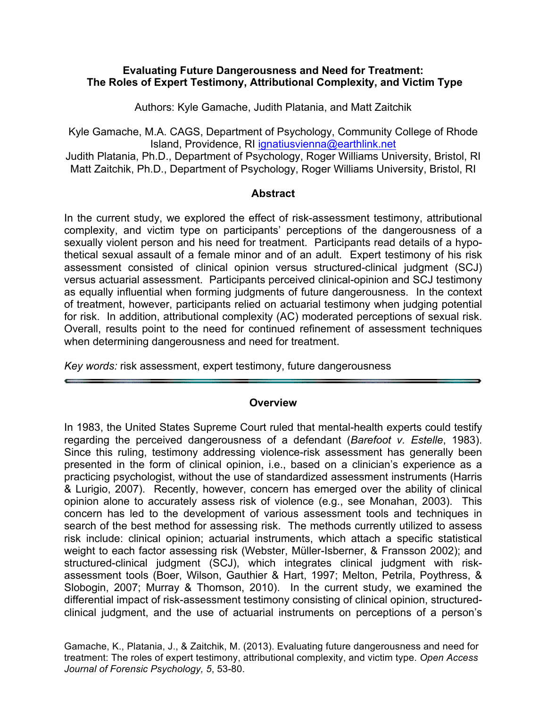#### **Evaluating Future Dangerousness and Need for Treatment: The Roles of Expert Testimony, Attributional Complexity, and Victim Type**

Authors: Kyle Gamache, Judith Platania, and Matt Zaitchik

Kyle Gamache, M.A. CAGS, Department of Psychology, Community College of Rhode Island, Providence, RI ignatiusvienna@earthlink.net

Judith Platania, Ph.D., Department of Psychology, Roger Williams University, Bristol, RI Matt Zaitchik, Ph.D., Department of Psychology, Roger Williams University, Bristol, RI

#### **Abstract**

In the current study, we explored the effect of risk-assessment testimony, attributional complexity, and victim type on participants' perceptions of the dangerousness of a sexually violent person and his need for treatment. Participants read details of a hypothetical sexual assault of a female minor and of an adult. Expert testimony of his risk assessment consisted of clinical opinion versus structured-clinical judgment (SCJ) versus actuarial assessment. Participants perceived clinical-opinion and SCJ testimony as equally influential when forming judgments of future dangerousness. In the context of treatment, however, participants relied on actuarial testimony when judging potential for risk. In addition, attributional complexity (AC) moderated perceptions of sexual risk. Overall, results point to the need for continued refinement of assessment techniques when determining dangerousness and need for treatment.

*Key words:* risk assessment, expert testimony, future dangerousness

#### **Overview**

In 1983, the United States Supreme Court ruled that mental-health experts could testify regarding the perceived dangerousness of a defendant (*Barefoot v. Estelle*, 1983). Since this ruling, testimony addressing violence-risk assessment has generally been presented in the form of clinical opinion, i.e., based on a clinician's experience as a practicing psychologist, without the use of standardized assessment instruments (Harris & Lurigio, 2007). Recently, however, concern has emerged over the ability of clinical opinion alone to accurately assess risk of violence (e.g., see Monahan, 2003). This concern has led to the development of various assessment tools and techniques in search of the best method for assessing risk. The methods currently utilized to assess risk include: clinical opinion; actuarial instruments, which attach a specific statistical weight to each factor assessing risk (Webster, Müller-Isberner, & Fransson 2002); and structured-clinical judgment (SCJ), which integrates clinical judgment with riskassessment tools (Boer, Wilson, Gauthier & Hart, 1997; Melton, Petrila, Poythress, & Slobogin, 2007; Murray & Thomson, 2010). In the current study, we examined the differential impact of risk-assessment testimony consisting of clinical opinion, structuredclinical judgment, and the use of actuarial instruments on perceptions of a person's

Gamache, K., Platania, J., & Zaitchik, M. (2013). Evaluating future dangerousness and need for treatment: The roles of expert testimony, attributional complexity, and victim type. *Open Access Journal of Forensic Psychology, 5*, 53-80.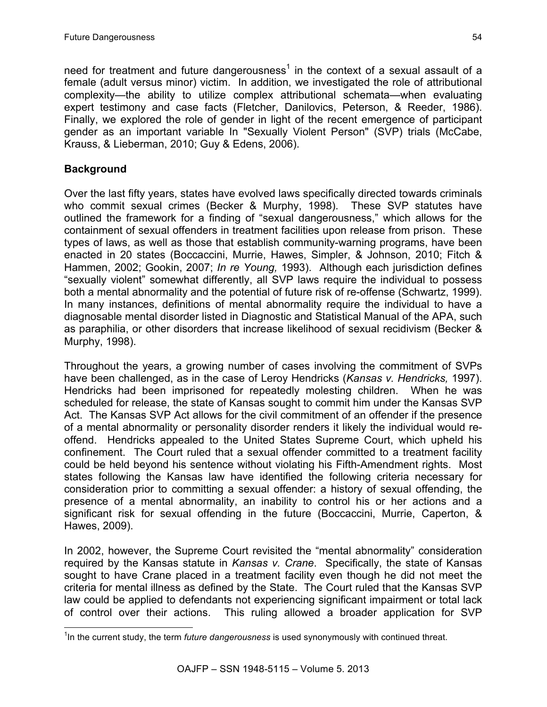need for treatment and future dangerousness<sup>1</sup> in the context of a sexual assault of a female (adult versus minor) victim. In addition, we investigated the role of attributional complexity—the ability to utilize complex attributional schemata—when evaluating expert testimony and case facts (Fletcher, Danilovics, Peterson, & Reeder, 1986). Finally, we explored the role of gender in light of the recent emergence of participant gender as an important variable In "Sexually Violent Person" (SVP) trials (McCabe, Krauss, & Lieberman, 2010; Guy & Edens, 2006).

# **Background**

Over the last fifty years, states have evolved laws specifically directed towards criminals who commit sexual crimes (Becker & Murphy, 1998). These SVP statutes have outlined the framework for a finding of "sexual dangerousness," which allows for the containment of sexual offenders in treatment facilities upon release from prison. These types of laws, as well as those that establish community-warning programs, have been enacted in 20 states (Boccaccini, Murrie, Hawes, Simpler, & Johnson, 2010; Fitch & Hammen, 2002; Gookin, 2007; *In re Young,* 1993). Although each jurisdiction defines "sexually violent" somewhat differently, all SVP laws require the individual to possess both a mental abnormality and the potential of future risk of re-offense (Schwartz, 1999). In many instances, definitions of mental abnormality require the individual to have a diagnosable mental disorder listed in Diagnostic and Statistical Manual of the APA, such as paraphilia, or other disorders that increase likelihood of sexual recidivism (Becker & Murphy, 1998).

Throughout the years, a growing number of cases involving the commitment of SVPs have been challenged, as in the case of Leroy Hendricks (*Kansas v. Hendricks,* 1997). Hendricks had been imprisoned for repeatedly molesting children. When he was scheduled for release, the state of Kansas sought to commit him under the Kansas SVP Act. The Kansas SVP Act allows for the civil commitment of an offender if the presence of a mental abnormality or personality disorder renders it likely the individual would reoffend. Hendricks appealed to the United States Supreme Court, which upheld his confinement. The Court ruled that a sexual offender committed to a treatment facility could be held beyond his sentence without violating his Fifth-Amendment rights. Most states following the Kansas law have identified the following criteria necessary for consideration prior to committing a sexual offender: a history of sexual offending, the presence of a mental abnormality, an inability to control his or her actions and a significant risk for sexual offending in the future (Boccaccini, Murrie, Caperton, & Hawes, 2009).

In 2002, however, the Supreme Court revisited the "mental abnormality" consideration required by the Kansas statute in *Kansas v. Crane*. Specifically, the state of Kansas sought to have Crane placed in a treatment facility even though he did not meet the criteria for mental illness as defined by the State. The Court ruled that the Kansas SVP law could be applied to defendants not experiencing significant impairment or total lack of control over their actions. This ruling allowed a broader application for SVP

 <sup>1</sup> In the current study, the term *future dangerousness* is used synonymously with continued threat.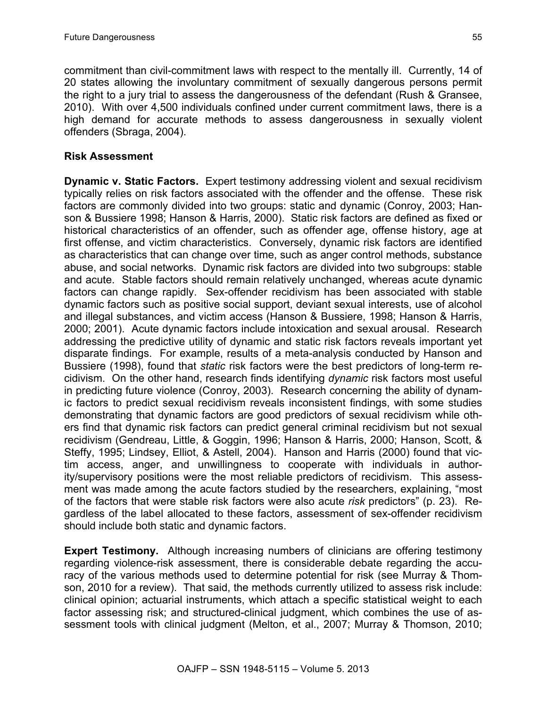commitment than civil-commitment laws with respect to the mentally ill. Currently, 14 of 20 states allowing the involuntary commitment of sexually dangerous persons permit the right to a jury trial to assess the dangerousness of the defendant (Rush & Gransee, 2010). With over 4,500 individuals confined under current commitment laws, there is a high demand for accurate methods to assess dangerousness in sexually violent offenders (Sbraga, 2004).

### **Risk Assessment**

**Dynamic v. Static Factors.** Expert testimony addressing violent and sexual recidivism typically relies on risk factors associated with the offender and the offense. These risk factors are commonly divided into two groups: static and dynamic (Conroy, 2003; Hanson & Bussiere 1998; Hanson & Harris, 2000). Static risk factors are defined as fixed or historical characteristics of an offender, such as offender age, offense history, age at first offense, and victim characteristics. Conversely, dynamic risk factors are identified as characteristics that can change over time, such as anger control methods, substance abuse, and social networks. Dynamic risk factors are divided into two subgroups: stable and acute. Stable factors should remain relatively unchanged, whereas acute dynamic factors can change rapidly. Sex-offender recidivism has been associated with stable dynamic factors such as positive social support, deviant sexual interests, use of alcohol and illegal substances, and victim access (Hanson & Bussiere, 1998; Hanson & Harris, 2000; 2001). Acute dynamic factors include intoxication and sexual arousal. Research addressing the predictive utility of dynamic and static risk factors reveals important yet disparate findings. For example, results of a meta-analysis conducted by Hanson and Bussiere (1998), found that *static* risk factors were the best predictors of long-term recidivism. On the other hand, research finds identifying *dynamic* risk factors most useful in predicting future violence (Conroy, 2003). Research concerning the ability of dynamic factors to predict sexual recidivism reveals inconsistent findings, with some studies demonstrating that dynamic factors are good predictors of sexual recidivism while others find that dynamic risk factors can predict general criminal recidivism but not sexual recidivism (Gendreau, Little, & Goggin, 1996; Hanson & Harris, 2000; Hanson, Scott, & Steffy, 1995; Lindsey, Elliot, & Astell, 2004). Hanson and Harris (2000) found that victim access, anger, and unwillingness to cooperate with individuals in authority/supervisory positions were the most reliable predictors of recidivism. This assessment was made among the acute factors studied by the researchers, explaining, "most of the factors that were stable risk factors were also acute *risk* predictors" (p. 23). Regardless of the label allocated to these factors, assessment of sex-offender recidivism should include both static and dynamic factors.

**Expert Testimony.** Although increasing numbers of clinicians are offering testimony regarding violence-risk assessment, there is considerable debate regarding the accuracy of the various methods used to determine potential for risk (see Murray & Thomson, 2010 for a review). That said, the methods currently utilized to assess risk include: clinical opinion; actuarial instruments, which attach a specific statistical weight to each factor assessing risk; and structured-clinical judgment, which combines the use of assessment tools with clinical judgment (Melton, et al., 2007; Murray & Thomson, 2010;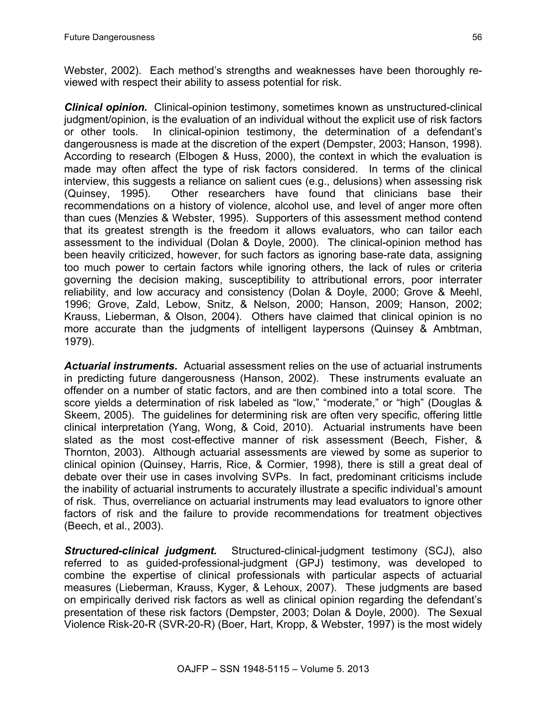Webster, 2002). Each method's strengths and weaknesses have been thoroughly reviewed with respect their ability to assess potential for risk.

*Clinical opinion.* Clinical-opinion testimony, sometimes known as unstructured-clinical judgment/opinion, is the evaluation of an individual without the explicit use of risk factors or other tools. In clinical-opinion testimony, the determination of a defendant's dangerousness is made at the discretion of the expert (Dempster, 2003; Hanson, 1998). According to research (Elbogen & Huss, 2000), the context in which the evaluation is made may often affect the type of risk factors considered. In terms of the clinical interview, this suggests a reliance on salient cues (e.g., delusions) when assessing risk (Quinsey, 1995). Other researchers have found that clinicians base their recommendations on a history of violence, alcohol use, and level of anger more often than cues (Menzies & Webster, 1995). Supporters of this assessment method contend that its greatest strength is the freedom it allows evaluators, who can tailor each assessment to the individual (Dolan & Doyle, 2000). The clinical-opinion method has been heavily criticized, however, for such factors as ignoring base-rate data, assigning too much power to certain factors while ignoring others, the lack of rules or criteria governing the decision making, susceptibility to attributional errors, poor interrater reliability, and low accuracy and consistency (Dolan & Doyle, 2000; Grove & Meehl, 1996; Grove, Zald, Lebow, Snitz, & Nelson, 2000; Hanson, 2009; Hanson, 2002; Krauss, Lieberman, & Olson, 2004). Others have claimed that clinical opinion is no more accurate than the judgments of intelligent laypersons (Quinsey & Ambtman, 1979).

*Actuarial instruments***.** Actuarial assessment relies on the use of actuarial instruments in predicting future dangerousness (Hanson, 2002). These instruments evaluate an offender on a number of static factors, and are then combined into a total score. The score yields a determination of risk labeled as "low," "moderate," or "high" (Douglas & Skeem, 2005). The guidelines for determining risk are often very specific, offering little clinical interpretation (Yang, Wong, & Coid, 2010). Actuarial instruments have been slated as the most cost-effective manner of risk assessment (Beech, Fisher, & Thornton, 2003). Although actuarial assessments are viewed by some as superior to clinical opinion (Quinsey, Harris, Rice, & Cormier, 1998), there is still a great deal of debate over their use in cases involving SVPs. In fact, predominant criticisms include the inability of actuarial instruments to accurately illustrate a specific individual's amount of risk. Thus, overreliance on actuarial instruments may lead evaluators to ignore other factors of risk and the failure to provide recommendations for treatment objectives (Beech, et al., 2003).

*Structured-clinical judgment.* Structured-clinical-judgment testimony (SCJ), also referred to as guided-professional-judgment (GPJ) testimony, was developed to combine the expertise of clinical professionals with particular aspects of actuarial measures (Lieberman, Krauss, Kyger, & Lehoux, 2007). These judgments are based on empirically derived risk factors as well as clinical opinion regarding the defendant's presentation of these risk factors (Dempster, 2003; Dolan & Doyle, 2000). The Sexual Violence Risk-20-R (SVR-20-R) (Boer, Hart, Kropp, & Webster, 1997) is the most widely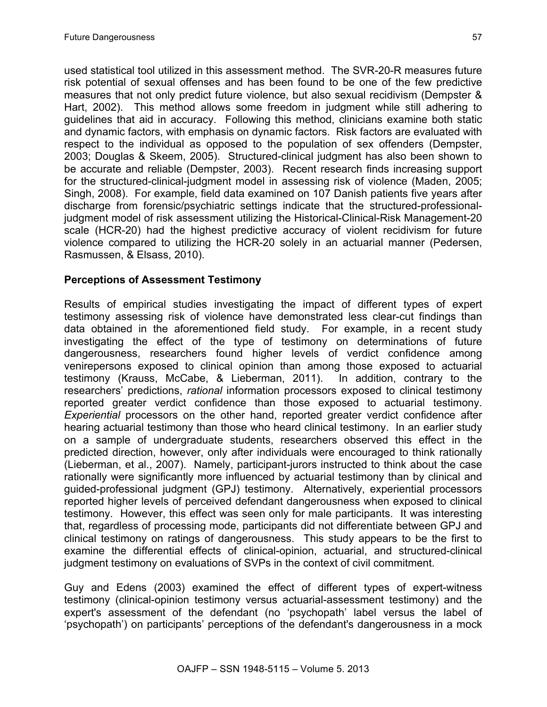used statistical tool utilized in this assessment method. The SVR-20-R measures future risk potential of sexual offenses and has been found to be one of the few predictive measures that not only predict future violence, but also sexual recidivism (Dempster & Hart, 2002). This method allows some freedom in judgment while still adhering to guidelines that aid in accuracy. Following this method, clinicians examine both static and dynamic factors, with emphasis on dynamic factors. Risk factors are evaluated with respect to the individual as opposed to the population of sex offenders (Dempster, 2003; Douglas & Skeem, 2005). Structured-clinical judgment has also been shown to be accurate and reliable (Dempster, 2003). Recent research finds increasing support for the structured-clinical-judgment model in assessing risk of violence (Maden, 2005; Singh, 2008). For example, field data examined on 107 Danish patients five years after discharge from forensic/psychiatric settings indicate that the structured-professionaljudgment model of risk assessment utilizing the Historical-Clinical-Risk Management-20 scale (HCR-20) had the highest predictive accuracy of violent recidivism for future violence compared to utilizing the HCR-20 solely in an actuarial manner (Pedersen, Rasmussen, & Elsass, 2010).

### **Perceptions of Assessment Testimony**

Results of empirical studies investigating the impact of different types of expert testimony assessing risk of violence have demonstrated less clear-cut findings than data obtained in the aforementioned field study. For example, in a recent study investigating the effect of the type of testimony on determinations of future dangerousness, researchers found higher levels of verdict confidence among venirepersons exposed to clinical opinion than among those exposed to actuarial testimony (Krauss, McCabe, & Lieberman, 2011). In addition, contrary to the researchers' predictions, *rational* information processors exposed to clinical testimony reported greater verdict confidence than those exposed to actuarial testimony. *Experiential* processors on the other hand, reported greater verdict confidence after hearing actuarial testimony than those who heard clinical testimony. In an earlier study on a sample of undergraduate students, researchers observed this effect in the predicted direction, however, only after individuals were encouraged to think rationally (Lieberman, et al., 2007). Namely, participant-jurors instructed to think about the case rationally were significantly more influenced by actuarial testimony than by clinical and guided-professional judgment (GPJ) testimony. Alternatively, experiential processors reported higher levels of perceived defendant dangerousness when exposed to clinical testimony. However, this effect was seen only for male participants. It was interesting that, regardless of processing mode, participants did not differentiate between GPJ and clinical testimony on ratings of dangerousness. This study appears to be the first to examine the differential effects of clinical-opinion, actuarial, and structured-clinical judgment testimony on evaluations of SVPs in the context of civil commitment.

Guy and Edens (2003) examined the effect of different types of expert-witness testimony (clinical-opinion testimony versus actuarial-assessment testimony) and the expert's assessment of the defendant (no 'psychopath' label versus the label of 'psychopath') on participants' perceptions of the defendant's dangerousness in a mock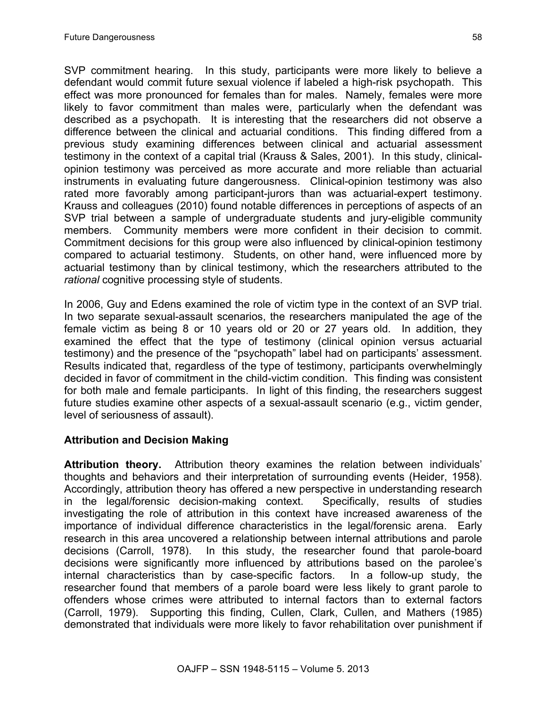SVP commitment hearing. In this study, participants were more likely to believe a defendant would commit future sexual violence if labeled a high-risk psychopath. This effect was more pronounced for females than for males. Namely, females were more likely to favor commitment than males were, particularly when the defendant was described as a psychopath. It is interesting that the researchers did not observe a difference between the clinical and actuarial conditions. This finding differed from a previous study examining differences between clinical and actuarial assessment testimony in the context of a capital trial (Krauss & Sales, 2001). In this study, clinicalopinion testimony was perceived as more accurate and more reliable than actuarial instruments in evaluating future dangerousness. Clinical-opinion testimony was also rated more favorably among participant-jurors than was actuarial-expert testimony. Krauss and colleagues (2010) found notable differences in perceptions of aspects of an SVP trial between a sample of undergraduate students and jury-eligible community members. Community members were more confident in their decision to commit. Commitment decisions for this group were also influenced by clinical-opinion testimony compared to actuarial testimony. Students, on other hand, were influenced more by actuarial testimony than by clinical testimony, which the researchers attributed to the *rational* cognitive processing style of students.

In 2006, Guy and Edens examined the role of victim type in the context of an SVP trial. In two separate sexual-assault scenarios, the researchers manipulated the age of the female victim as being 8 or 10 years old or 20 or 27 years old. In addition, they examined the effect that the type of testimony (clinical opinion versus actuarial testimony) and the presence of the "psychopath" label had on participants' assessment. Results indicated that, regardless of the type of testimony, participants overwhelmingly decided in favor of commitment in the child-victim condition. This finding was consistent for both male and female participants. In light of this finding, the researchers suggest future studies examine other aspects of a sexual-assault scenario (e.g., victim gender, level of seriousness of assault).

# **Attribution and Decision Making**

**Attribution theory.** Attribution theory examines the relation between individuals' thoughts and behaviors and their interpretation of surrounding events (Heider, 1958). Accordingly, attribution theory has offered a new perspective in understanding research in the legal/forensic decision-making context. Specifically, results of studies investigating the role of attribution in this context have increased awareness of the importance of individual difference characteristics in the legal/forensic arena. Early research in this area uncovered a relationship between internal attributions and parole decisions (Carroll, 1978). In this study, the researcher found that parole-board decisions were significantly more influenced by attributions based on the parolee's internal characteristics than by case-specific factors. In a follow-up study, the researcher found that members of a parole board were less likely to grant parole to offenders whose crimes were attributed to internal factors than to external factors (Carroll, 1979). Supporting this finding, Cullen, Clark, Cullen, and Mathers (1985) demonstrated that individuals were more likely to favor rehabilitation over punishment if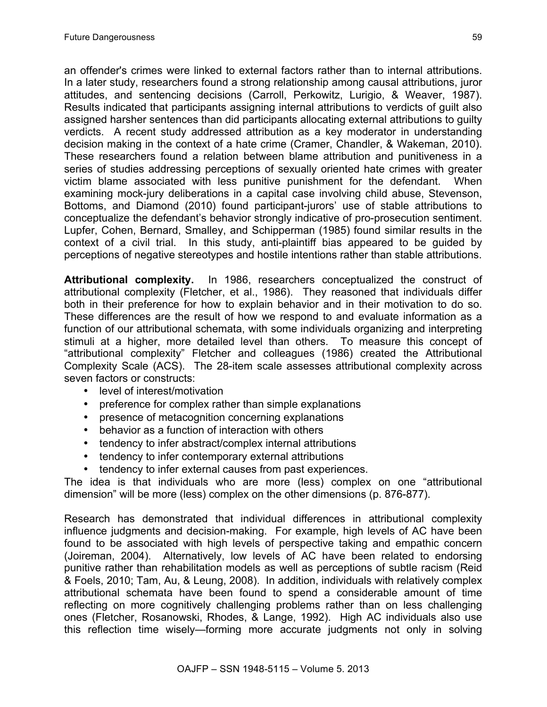an offender's crimes were linked to external factors rather than to internal attributions. In a later study, researchers found a strong relationship among causal attributions, juror attitudes, and sentencing decisions (Carroll, Perkowitz, Lurigio, & Weaver, 1987). Results indicated that participants assigning internal attributions to verdicts of guilt also assigned harsher sentences than did participants allocating external attributions to guilty verdicts. A recent study addressed attribution as a key moderator in understanding decision making in the context of a hate crime (Cramer, Chandler, & Wakeman, 2010). These researchers found a relation between blame attribution and punitiveness in a series of studies addressing perceptions of sexually oriented hate crimes with greater victim blame associated with less punitive punishment for the defendant. When examining mock-jury deliberations in a capital case involving child abuse, Stevenson, Bottoms, and Diamond (2010) found participant-jurors' use of stable attributions to conceptualize the defendant's behavior strongly indicative of pro-prosecution sentiment. Lupfer, Cohen, Bernard, Smalley, and Schipperman (1985) found similar results in the context of a civil trial. In this study, anti-plaintiff bias appeared to be guided by perceptions of negative stereotypes and hostile intentions rather than stable attributions.

**Attributional complexity.** In 1986, researchers conceptualized the construct of attributional complexity (Fletcher, et al., 1986). They reasoned that individuals differ both in their preference for how to explain behavior and in their motivation to do so. These differences are the result of how we respond to and evaluate information as a function of our attributional schemata, with some individuals organizing and interpreting stimuli at a higher, more detailed level than others. To measure this concept of "attributional complexity" Fletcher and colleagues (1986) created the Attributional Complexity Scale (ACS). The 28-item scale assesses attributional complexity across seven factors or constructs:

- level of interest/motivation
- preference for complex rather than simple explanations
- presence of metacognition concerning explanations
- behavior as a function of interaction with others
- tendency to infer abstract/complex internal attributions
- tendency to infer contemporary external attributions
- tendency to infer external causes from past experiences.

The idea is that individuals who are more (less) complex on one "attributional dimension" will be more (less) complex on the other dimensions (p. 876-877).

Research has demonstrated that individual differences in attributional complexity influence judgments and decision-making. For example, high levels of AC have been found to be associated with high levels of perspective taking and empathic concern (Joireman, 2004). Alternatively, low levels of AC have been related to endorsing punitive rather than rehabilitation models as well as perceptions of subtle racism (Reid & Foels, 2010; Tam, Au, & Leung, 2008). In addition, individuals with relatively complex attributional schemata have been found to spend a considerable amount of time reflecting on more cognitively challenging problems rather than on less challenging ones (Fletcher, Rosanowski, Rhodes, & Lange, 1992). High AC individuals also use this reflection time wisely—forming more accurate judgments not only in solving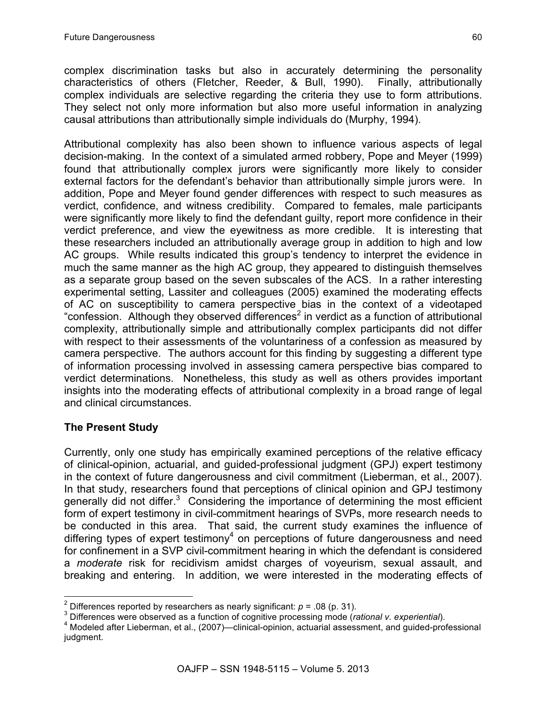complex discrimination tasks but also in accurately determining the personality characteristics of others (Fletcher, Reeder, & Bull, 1990). Finally, attributionally complex individuals are selective regarding the criteria they use to form attributions. They select not only more information but also more useful information in analyzing causal attributions than attributionally simple individuals do (Murphy, 1994).

Attributional complexity has also been shown to influence various aspects of legal decision-making. In the context of a simulated armed robbery, Pope and Meyer (1999) found that attributionally complex jurors were significantly more likely to consider external factors for the defendant's behavior than attributionally simple jurors were. In addition, Pope and Meyer found gender differences with respect to such measures as verdict, confidence, and witness credibility. Compared to females, male participants were significantly more likely to find the defendant guilty, report more confidence in their verdict preference, and view the eyewitness as more credible. It is interesting that these researchers included an attributionally average group in addition to high and low AC groups. While results indicated this group's tendency to interpret the evidence in much the same manner as the high AC group, they appeared to distinguish themselves as a separate group based on the seven subscales of the ACS. In a rather interesting experimental setting, Lassiter and colleagues (2005) examined the moderating effects of AC on susceptibility to camera perspective bias in the context of a videotaped "confession. Although they observed differences<sup>2</sup> in verdict as a function of attributional complexity, attributionally simple and attributionally complex participants did not differ with respect to their assessments of the voluntariness of a confession as measured by camera perspective. The authors account for this finding by suggesting a different type of information processing involved in assessing camera perspective bias compared to verdict determinations. Nonetheless, this study as well as others provides important insights into the moderating effects of attributional complexity in a broad range of legal and clinical circumstances.

# **The Present Study**

Currently, only one study has empirically examined perceptions of the relative efficacy of clinical-opinion, actuarial, and guided-professional judgment (GPJ) expert testimony in the context of future dangerousness and civil commitment (Lieberman, et al., 2007). In that study, researchers found that perceptions of clinical opinion and GPJ testimony generally did not differ. $3$  Considering the importance of determining the most efficient form of expert testimony in civil-commitment hearings of SVPs, more research needs to be conducted in this area. That said, the current study examines the influence of differing types of expert testimony<sup>4</sup> on perceptions of future dangerousness and need for confinement in a SVP civil-commitment hearing in which the defendant is considered a *moderate* risk for recidivism amidst charges of voyeurism, sexual assault, and breaking and entering. In addition, we were interested in the moderating effects of

<sup>&</sup>lt;sup>2</sup> Differences reported by researchers as nearly significant:  $p = .08$  (p. 31).<br><sup>3</sup> Differences were observed as a function of cognitive processing mode (*rational v. experiential*).<br><sup>4</sup> Modeled after Lieberman, et al., ( judgment.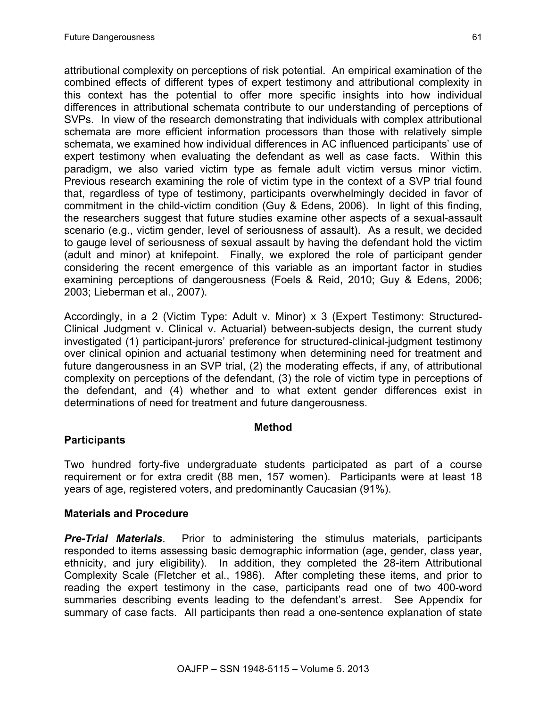attributional complexity on perceptions of risk potential. An empirical examination of the combined effects of different types of expert testimony and attributional complexity in this context has the potential to offer more specific insights into how individual differences in attributional schemata contribute to our understanding of perceptions of SVPs. In view of the research demonstrating that individuals with complex attributional schemata are more efficient information processors than those with relatively simple schemata, we examined how individual differences in AC influenced participants' use of expert testimony when evaluating the defendant as well as case facts. Within this paradigm, we also varied victim type as female adult victim versus minor victim. Previous research examining the role of victim type in the context of a SVP trial found that, regardless of type of testimony, participants overwhelmingly decided in favor of commitment in the child-victim condition (Guy & Edens, 2006). In light of this finding, the researchers suggest that future studies examine other aspects of a sexual-assault scenario (e.g., victim gender, level of seriousness of assault). As a result, we decided to gauge level of seriousness of sexual assault by having the defendant hold the victim (adult and minor) at knifepoint. Finally, we explored the role of participant gender considering the recent emergence of this variable as an important factor in studies examining perceptions of dangerousness (Foels & Reid, 2010; Guy & Edens, 2006; 2003; Lieberman et al., 2007).

Accordingly, in a 2 (Victim Type: Adult v. Minor) x 3 (Expert Testimony: Structured-Clinical Judgment v. Clinical v. Actuarial) between-subjects design, the current study investigated (1) participant-jurors' preference for structured-clinical-judgment testimony over clinical opinion and actuarial testimony when determining need for treatment and future dangerousness in an SVP trial, (2) the moderating effects, if any, of attributional complexity on perceptions of the defendant, (3) the role of victim type in perceptions of the defendant, and (4) whether and to what extent gender differences exist in determinations of need for treatment and future dangerousness.

#### **Method**

# **Participants**

Two hundred forty-five undergraduate students participated as part of a course requirement or for extra credit (88 men, 157 women). Participants were at least 18 years of age, registered voters, and predominantly Caucasian (91%).

# **Materials and Procedure**

*Pre-Trial Materials*. Prior to administering the stimulus materials, participants responded to items assessing basic demographic information (age, gender, class year, ethnicity, and jury eligibility). In addition, they completed the 28-item Attributional Complexity Scale (Fletcher et al., 1986). After completing these items, and prior to reading the expert testimony in the case, participants read one of two 400-word summaries describing events leading to the defendant's arrest. See Appendix for summary of case facts. All participants then read a one-sentence explanation of state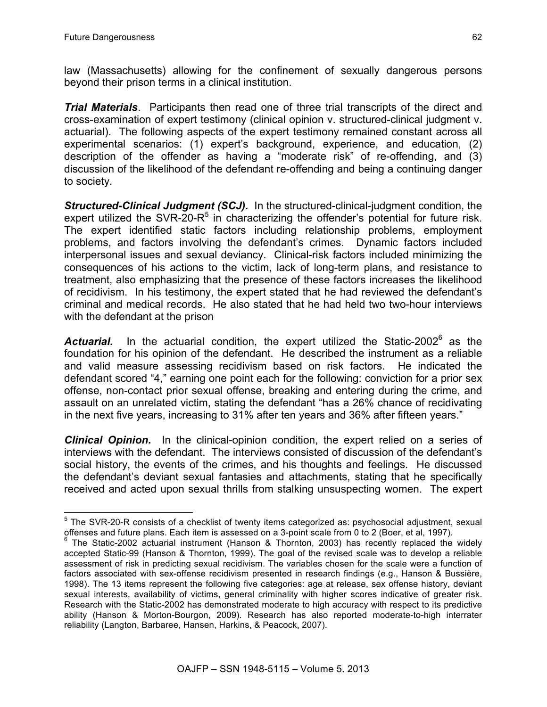law (Massachusetts) allowing for the confinement of sexually dangerous persons beyond their prison terms in a clinical institution.

*Trial Materials*. Participants then read one of three trial transcripts of the direct and cross-examination of expert testimony (clinical opinion v. structured-clinical judgment v. actuarial). The following aspects of the expert testimony remained constant across all experimental scenarios: (1) expert's background, experience, and education, (2) description of the offender as having a "moderate risk" of re-offending, and (3) discussion of the likelihood of the defendant re-offending and being a continuing danger to society.

*Structured-Clinical Judgment (SCJ).* In the structured-clinical-judgment condition, the expert utilized the SVR-20- $R^5$  in characterizing the offender's potential for future risk. The expert identified static factors including relationship problems, employment problems, and factors involving the defendant's crimes. Dynamic factors included interpersonal issues and sexual deviancy. Clinical-risk factors included minimizing the consequences of his actions to the victim, lack of long-term plans, and resistance to treatment, also emphasizing that the presence of these factors increases the likelihood of recidivism. In his testimony, the expert stated that he had reviewed the defendant's criminal and medical records. He also stated that he had held two two-hour interviews with the defendant at the prison

Actuarial. In the actuarial condition, the expert utilized the Static-2002<sup>6</sup> as the foundation for his opinion of the defendant. He described the instrument as a reliable and valid measure assessing recidivism based on risk factors. He indicated the defendant scored "4," earning one point each for the following: conviction for a prior sex offense, non-contact prior sexual offense, breaking and entering during the crime, and assault on an unrelated victim, stating the defendant "has a 26% chance of recidivating in the next five years, increasing to 31% after ten years and 36% after fifteen years."

**Clinical Opinion.** In the clinical-opinion condition, the expert relied on a series of interviews with the defendant. The interviews consisted of discussion of the defendant's social history, the events of the crimes, and his thoughts and feelings. He discussed the defendant's deviant sexual fantasies and attachments, stating that he specifically received and acted upon sexual thrills from stalking unsuspecting women. The expert

<sup>&</sup>lt;sup>5</sup> The SVR-20-R consists of a checklist of twenty items categorized as: psychosocial adjustment, sexual offenses and future plans. Each item is assessed on a 3-point scale from 0 to 2 (Boer, et al, 1997).<br><sup>6</sup> The Static-2002 actuarial instrument (Hanson & Thornton, 2003) has recently replaced the widely

accepted Static-99 (Hanson & Thornton, 1999). The goal of the revised scale was to develop a reliable assessment of risk in predicting sexual recidivism. The variables chosen for the scale were a function of factors associated with sex-offense recidivism presented in research findings (e.g., Hanson & Bussière, 1998). The 13 items represent the following five categories: age at release, sex offense history, deviant sexual interests, availability of victims, general criminality with higher scores indicative of greater risk. Research with the Static-2002 has demonstrated moderate to high accuracy with respect to its predictive ability (Hanson & Morton-Bourgon, 2009). Research has also reported moderate-to-high interrater reliability (Langton, Barbaree, Hansen, Harkins, & Peacock, 2007).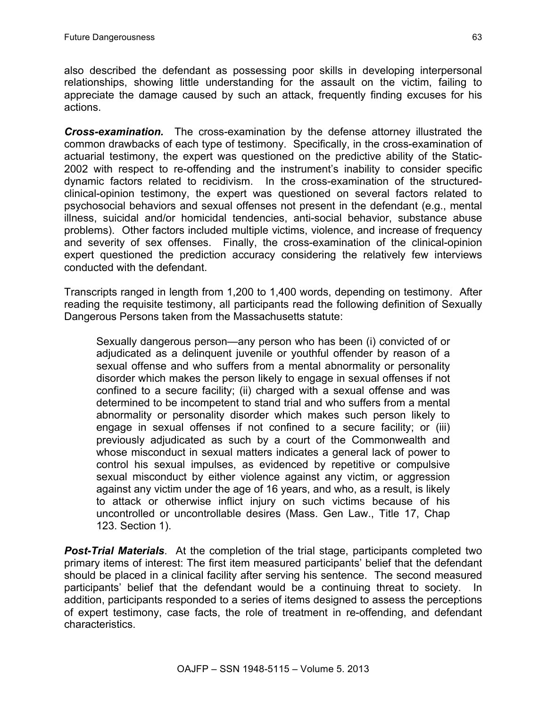also described the defendant as possessing poor skills in developing interpersonal relationships, showing little understanding for the assault on the victim, failing to appreciate the damage caused by such an attack, frequently finding excuses for his actions.

*Cross-examination.* The cross-examination by the defense attorney illustrated the common drawbacks of each type of testimony. Specifically, in the cross-examination of actuarial testimony, the expert was questioned on the predictive ability of the Static-2002 with respect to re-offending and the instrument's inability to consider specific dynamic factors related to recidivism. In the cross-examination of the structuredclinical-opinion testimony, the expert was questioned on several factors related to psychosocial behaviors and sexual offenses not present in the defendant (e.g., mental illness, suicidal and/or homicidal tendencies, anti-social behavior, substance abuse problems). Other factors included multiple victims, violence, and increase of frequency and severity of sex offenses. Finally, the cross-examination of the clinical-opinion expert questioned the prediction accuracy considering the relatively few interviews conducted with the defendant.

Transcripts ranged in length from 1,200 to 1,400 words, depending on testimony. After reading the requisite testimony, all participants read the following definition of Sexually Dangerous Persons taken from the Massachusetts statute:

Sexually dangerous person—any person who has been (i) convicted of or adjudicated as a delinquent juvenile or youthful offender by reason of a sexual offense and who suffers from a mental abnormality or personality disorder which makes the person likely to engage in sexual offenses if not confined to a secure facility; (ii) charged with a sexual offense and was determined to be incompetent to stand trial and who suffers from a mental abnormality or personality disorder which makes such person likely to engage in sexual offenses if not confined to a secure facility; or (iii) previously adjudicated as such by a court of the Commonwealth and whose misconduct in sexual matters indicates a general lack of power to control his sexual impulses, as evidenced by repetitive or compulsive sexual misconduct by either violence against any victim, or aggression against any victim under the age of 16 years, and who, as a result, is likely to attack or otherwise inflict injury on such victims because of his uncontrolled or uncontrollable desires (Mass. Gen Law., Title 17, Chap 123. Section 1).

**Post-Trial Materials**. At the completion of the trial stage, participants completed two primary items of interest: The first item measured participants' belief that the defendant should be placed in a clinical facility after serving his sentence. The second measured participants' belief that the defendant would be a continuing threat to society. In addition, participants responded to a series of items designed to assess the perceptions of expert testimony, case facts, the role of treatment in re-offending, and defendant characteristics.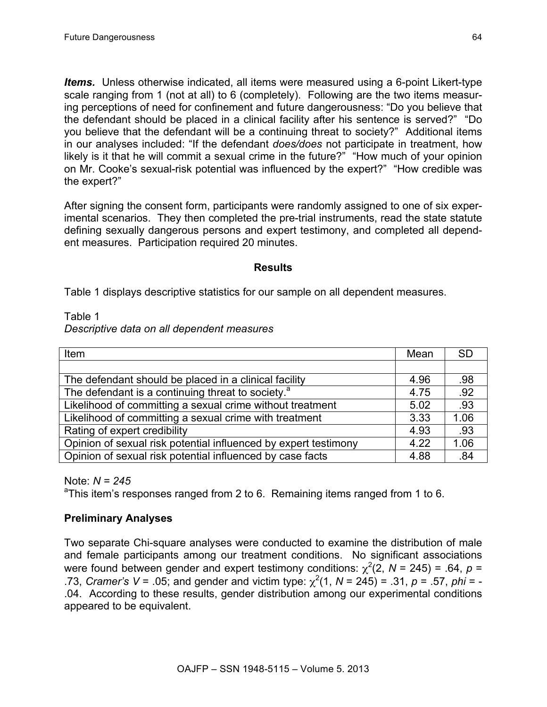*Items.* Unless otherwise indicated, all items were measured using a 6-point Likert-type scale ranging from 1 (not at all) to 6 (completely). Following are the two items measuring perceptions of need for confinement and future dangerousness: "Do you believe that the defendant should be placed in a clinical facility after his sentence is served?" "Do you believe that the defendant will be a continuing threat to society?" Additional items in our analyses included: "If the defendant *does/does* not participate in treatment, how likely is it that he will commit a sexual crime in the future?" "How much of your opinion on Mr. Cooke's sexual-risk potential was influenced by the expert?" "How credible was the expert?"

After signing the consent form, participants were randomly assigned to one of six experimental scenarios. They then completed the pre-trial instruments, read the state statute defining sexually dangerous persons and expert testimony, and completed all dependent measures. Participation required 20 minutes.

#### **Results**

Table 1 displays descriptive statistics for our sample on all dependent measures.

Table 1

|  |  |  | Descriptive data on all dependent measures |  |
|--|--|--|--------------------------------------------|--|
|--|--|--|--------------------------------------------|--|

| <b>Item</b>                                                     |      | <b>SD</b> |
|-----------------------------------------------------------------|------|-----------|
|                                                                 |      |           |
| The defendant should be placed in a clinical facility           | 4.96 | .98       |
| The defendant is a continuing threat to society. <sup>a</sup>   | 4.75 | .92       |
| Likelihood of committing a sexual crime without treatment       | 5.02 | .93       |
| Likelihood of committing a sexual crime with treatment          | 3.33 | 1.06      |
| Rating of expert credibility                                    |      | .93       |
| Opinion of sexual risk potential influenced by expert testimony |      | 1.06      |
| Opinion of sexual risk potential influenced by case facts       |      | .84       |

Note:  $N = 245$ 

This item's responses ranged from 2 to 6. Remaining items ranged from 1 to 6.

# **Preliminary Analyses**

Two separate Chi-square analyses were conducted to examine the distribution of male and female participants among our treatment conditions. No significant associations were found between gender and expert testimony conditions:  $\chi^2(2, N = 245)$  = .64,  $p =$ .73, *Cramer's V* = .05; and gender and victim type:  $\chi^2(1, N = 245)$  = .31, *p* = .57, *phi* = -.04. According to these results, gender distribution among our experimental conditions appeared to be equivalent.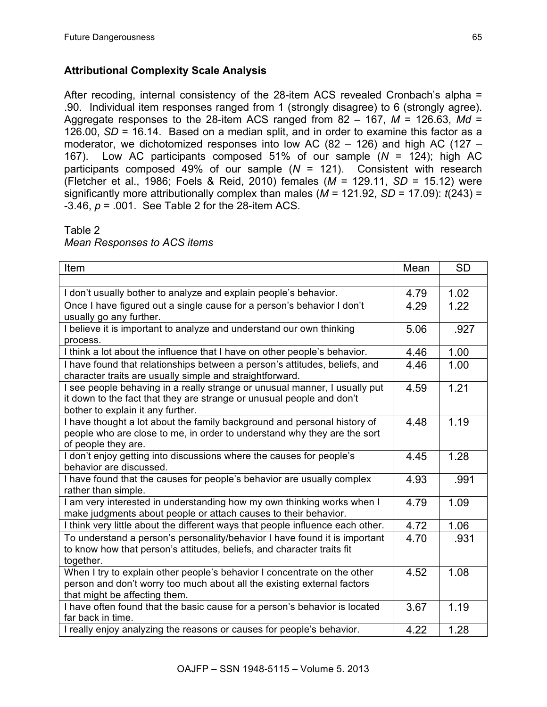# **Attributional Complexity Scale Analysis**

After recoding, internal consistency of the 28-item ACS revealed Cronbach's alpha = .90. Individual item responses ranged from 1 (strongly disagree) to 6 (strongly agree). Aggregate responses to the 28-item ACS ranged from 82 – 167, *M* = 126.63, *Md* = 126.00, *SD* = 16.14. Based on a median split, and in order to examine this factor as a moderator, we dichotomized responses into low AC (82 – 126) and high AC (127 – 167). Low AC participants composed 51% of our sample (*N* = 124); high AC participants composed 49% of our sample (*N* = 121). Consistent with research (Fletcher et al., 1986; Foels & Reid, 2010) females (*M* = 129.11, *SD* = 15.12) were significantly more attributionally complex than males (*M* = 121.92, *SD* = 17.09): *t*(243) = -3.46, *p* = .001. See Table 2 for the 28-item ACS.

#### Table 2

*Mean Responses to ACS items*

| Item                                                                                                                                                                                     |      | <b>SD</b> |
|------------------------------------------------------------------------------------------------------------------------------------------------------------------------------------------|------|-----------|
|                                                                                                                                                                                          |      |           |
| I don't usually bother to analyze and explain people's behavior.                                                                                                                         |      | 1.02      |
| Once I have figured out a single cause for a person's behavior I don't<br>usually go any further.                                                                                        |      | 1.22      |
| I believe it is important to analyze and understand our own thinking<br>process.                                                                                                         | 5.06 | .927      |
| I think a lot about the influence that I have on other people's behavior.                                                                                                                | 4.46 | 1.00      |
| I have found that relationships between a person's attitudes, beliefs, and<br>character traits are usually simple and straightforward.                                                   | 4.46 | 1.00      |
| I see people behaving in a really strange or unusual manner, I usually put<br>it down to the fact that they are strange or unusual people and don't<br>bother to explain it any further. | 4.59 | 1.21      |
| I have thought a lot about the family background and personal history of<br>people who are close to me, in order to understand why they are the sort<br>of people they are.              | 4.48 | 1.19      |
| I don't enjoy getting into discussions where the causes for people's<br>behavior are discussed.                                                                                          | 4.45 | 1.28      |
| I have found that the causes for people's behavior are usually complex<br>rather than simple.                                                                                            | 4.93 | .991      |
| I am very interested in understanding how my own thinking works when I<br>make judgments about people or attach causes to their behavior.                                                | 4.79 | 1.09      |
| I think very little about the different ways that people influence each other.                                                                                                           | 4.72 | 1.06      |
| To understand a person's personality/behavior I have found it is important<br>to know how that person's attitudes, beliefs, and character traits fit<br>together.                        | 4.70 | .931      |
| When I try to explain other people's behavior I concentrate on the other<br>person and don't worry too much about all the existing external factors<br>that might be affecting them.     | 4.52 | 1.08      |
| I have often found that the basic cause for a person's behavior is located<br>far back in time.                                                                                          | 3.67 | 1.19      |
| I really enjoy analyzing the reasons or causes for people's behavior.                                                                                                                    | 4.22 | 1.28      |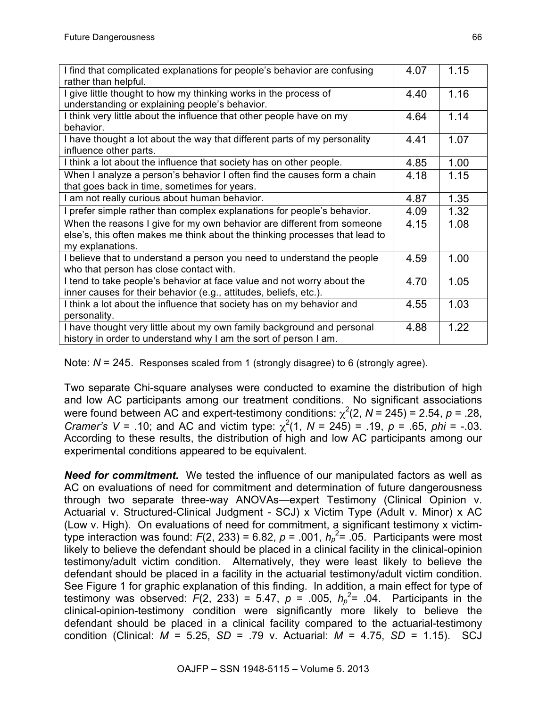| I find that complicated explanations for people's behavior are confusing               |      | 1.15 |
|----------------------------------------------------------------------------------------|------|------|
| rather than helpful.<br>give little thought to how my thinking works in the process of | 4.40 | 1.16 |
| understanding or explaining people's behavior.                                         |      |      |
| I think very little about the influence that other people have on my                   |      | 1.14 |
| behavior.                                                                              | 4.64 |      |
| I have thought a lot about the way that different parts of my personality              |      | 1.07 |
| influence other parts.                                                                 |      |      |
| I think a lot about the influence that society has on other people.                    | 4.85 | 1.00 |
| When I analyze a person's behavior I often find the causes form a chain                | 4.18 | 1.15 |
| that goes back in time, sometimes for years.                                           |      |      |
| I am not really curious about human behavior.                                          | 4.87 | 1.35 |
| I prefer simple rather than complex explanations for people's behavior.                | 4.09 | 1.32 |
| When the reasons I give for my own behavior are different from someone                 |      | 1.08 |
| else's, this often makes me think about the thinking processes that lead to            |      |      |
| my explanations.                                                                       |      |      |
| I believe that to understand a person you need to understand the people                | 4.59 | 1.00 |
| who that person has close contact with.                                                |      |      |
| I tend to take people's behavior at face value and not worry about the                 | 4.70 | 1.05 |
| inner causes for their behavior (e.g., attitudes, beliefs, etc.).                      |      |      |
| I think a lot about the influence that society has on my behavior and                  |      | 1.03 |
| personality.                                                                           |      |      |
| I have thought very little about my own family background and personal                 |      | 1.22 |
| history in order to understand why I am the sort of person I am.                       |      |      |

Note:  $N = 245$ . Responses scaled from 1 (strongly disagree) to 6 (strongly agree).

Two separate Chi-square analyses were conducted to examine the distribution of high and low AC participants among our treatment conditions. No significant associations were found between AC and expert-testimony conditions:  $\chi^2(2, N = 245) = 2.54$ ,  $p = .28$ , *Cramer's V* = .10; and AC and victim type:  $\chi^2(1, N = 245)$  = .19,  $p = .65$ ,  $phi = -.03$ . According to these results, the distribution of high and low AC participants among our experimental conditions appeared to be equivalent.

*Need for commitment.* We tested the influence of our manipulated factors as well as AC on evaluations of need for commitment and determination of future dangerousness through two separate three-way ANOVAs—expert Testimony (Clinical Opinion v. Actuarial v. Structured-Clinical Judgment - SCJ) x Victim Type (Adult v. Minor) x AC (Low v. High). On evaluations of need for commitment, a significant testimony x victimtype interaction was found:  $F(2, 233) = 6.82$ ,  $p = .001$ ,  $h_p^2 = .05$ . Participants were most likely to believe the defendant should be placed in a clinical facility in the clinical-opinion testimony/adult victim condition. Alternatively, they were least likely to believe the defendant should be placed in a facility in the actuarial testimony/adult victim condition. See Figure 1 for graphic explanation of this finding. In addition, a main effect for type of testimony was observed:  $F(2, 233) = 5.47$ ,  $p = .005$ ,  $h_p^2 = .04$ . Participants in the clinical-opinion-testimony condition were significantly more likely to believe the defendant should be placed in a clinical facility compared to the actuarial-testimony condition (Clinical: *M* = 5.25, *SD* = .79 v. Actuarial: *M* = 4.75, *SD* = 1.15). SCJ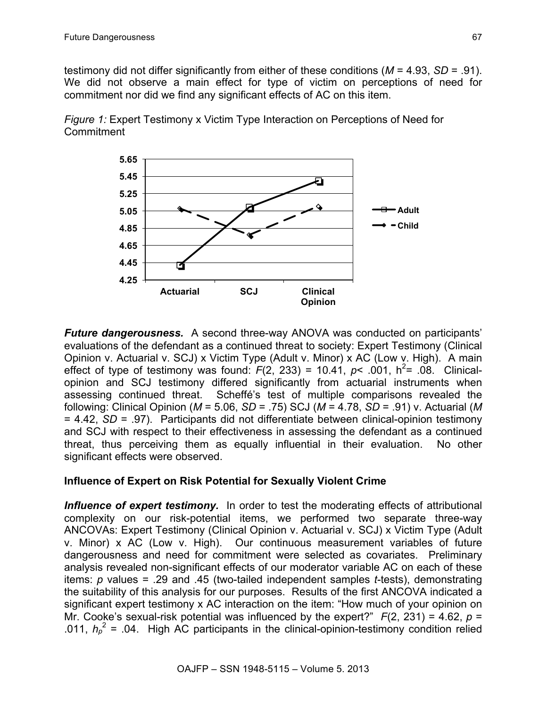testimony did not differ significantly from either of these conditions (*M* = 4.93, *SD* = .91). We did not observe a main effect for type of victim on perceptions of need for commitment nor did we find any significant effects of AC on this item.





*Future dangerousness.* A second three-way ANOVA was conducted on participants' evaluations of the defendant as a continued threat to society: Expert Testimony (Clinical Opinion v. Actuarial v. SCJ) x Victim Type (Adult v. Minor) x AC (Low v. High). A main effect of type of testimony was found:  $F(2, 233) = 10.41$ ,  $p < .001$ ,  $h^2 = .08$ . Clinicalopinion and SCJ testimony differed significantly from actuarial instruments when assessing continued threat. Scheffé's test of multiple comparisons revealed the following: Clinical Opinion (*M* = 5.06, *SD* = .75) SCJ (*M* = 4.78, *SD* = .91) v. Actuarial (*M*  = 4.42, *SD* = .97). Participants did not differentiate between clinical-opinion testimony and SCJ with respect to their effectiveness in assessing the defendant as a continued threat, thus perceiving them as equally influential in their evaluation. No other significant effects were observed.

# **Influence of Expert on Risk Potential for Sexually Violent Crime**

**Influence of expert testimony.** In order to test the moderating effects of attributional complexity on our risk-potential items, we performed two separate three-way ANCOVAs: Expert Testimony (Clinical Opinion v. Actuarial v. SCJ) x Victim Type (Adult v. Minor) x AC (Low v. High). Our continuous measurement variables of future dangerousness and need for commitment were selected as covariates. Preliminary analysis revealed non-significant effects of our moderator variable AC on each of these items: *p* values = .29 and .45 (two-tailed independent samples *t*-tests), demonstrating the suitability of this analysis for our purposes. Results of the first ANCOVA indicated a significant expert testimony x AC interaction on the item: "How much of your opinion on Mr. Cooke's sexual-risk potential was influenced by the expert?" *F*(2, 231) = 4.62, *p* = .011,  $h_p^2$  = .04. High AC participants in the clinical-opinion-testimony condition relied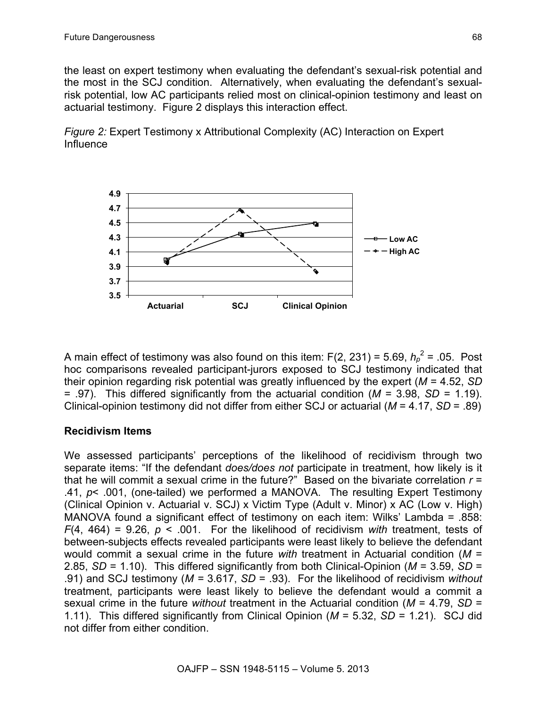the least on expert testimony when evaluating the defendant's sexual-risk potential and the most in the SCJ condition. Alternatively, when evaluating the defendant's sexualrisk potential, low AC participants relied most on clinical-opinion testimony and least on actuarial testimony. Figure 2 displays this interaction effect.

*Figure 2:* Expert Testimony x Attributional Complexity (AC) Interaction on Expert Influence



A main effect of testimony was also found on this item:  $F(2, 231) = 5.69$ ,  $h_p^2 = .05$ . Post hoc comparisons revealed participant-jurors exposed to SCJ testimony indicated that their opinion regarding risk potential was greatly influenced by the expert (*M* = 4.52, *SD* = .97). This differed significantly from the actuarial condition (*M* = 3.98, *SD* = 1.19). Clinical-opinion testimony did not differ from either SCJ or actuarial (*M* = 4.17, *SD* = .89)

# **Recidivism Items**

We assessed participants' perceptions of the likelihood of recidivism through two separate items: "If the defendant *does/does not* participate in treatment, how likely is it that he will commit a sexual crime in the future?" Based on the bivariate correlation *r* = .41, *p*< .001, (one-tailed) we performed a MANOVA. The resulting Expert Testimony (Clinical Opinion v. Actuarial v. SCJ) x Victim Type (Adult v. Minor) x AC (Low v. High) MANOVA found a significant effect of testimony on each item: Wilks' Lambda = .858: *F*(4, 464) = 9.26, *p* < .001. For the likelihood of recidivism *with* treatment, tests of between-subjects effects revealed participants were least likely to believe the defendant would commit a sexual crime in the future *with* treatment in Actuarial condition (*M* = 2.85, *SD* = 1.10). This differed significantly from both Clinical-Opinion (*M* = 3.59, *SD* = .91) and SCJ testimony (*M =* 3.617, *SD* = .93). For the likelihood of recidivism *without* treatment, participants were least likely to believe the defendant would a commit a sexual crime in the future *without* treatment in the Actuarial condition (*M* = 4.79, *SD* = 1.11). This differed significantly from Clinical Opinion (*M* = 5.32, *SD* = 1.21). SCJ did not differ from either condition.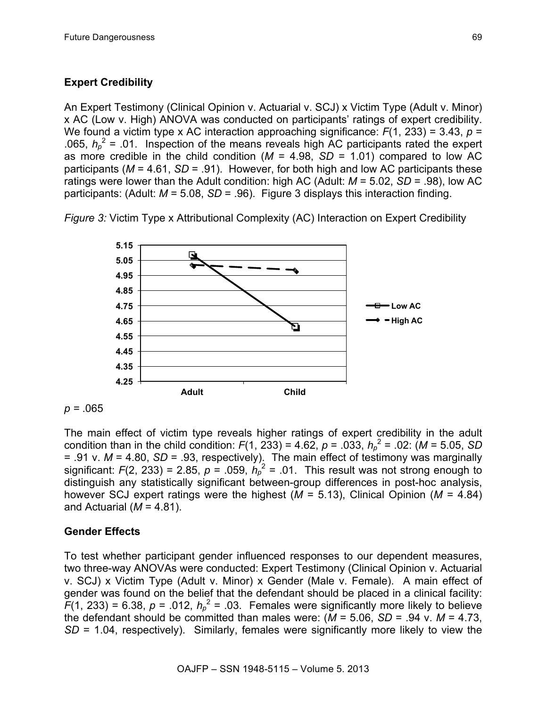### **Expert Credibility**

An Expert Testimony (Clinical Opinion v. Actuarial v. SCJ) x Victim Type (Adult v. Minor) x AC (Low v. High) ANOVA was conducted on participants' ratings of expert credibility. We found a victim type x AC interaction approaching significance:  $F(1, 233) = 3.43$ ,  $p =$ .065,  $h_p^2$  = .01. Inspection of the means reveals high AC participants rated the expert as more credible in the child condition ( $M = 4.98$ ,  $SD = 1.01$ ) compared to low AC participants (*M* = 4.61, *SD* = .91). However, for both high and low AC participants these ratings were lower than the Adult condition: high AC (Adult: *M* = 5.02, *SD* = .98), low AC participants: (Adult: *M* = 5.08, *SD* = .96). Figure 3 displays this interaction finding.

*Figure 3:* Victim Type x Attributional Complexity (AC) Interaction on Expert Credibility



*p =* .065

The main effect of victim type reveals higher ratings of expert credibility in the adult condition than in the child condition:  $F(1, 233) = 4.62$ ,  $p = .033$ ,  $h_p^2 = .02$ : ( $M = 5.05$ , SD = .91 v. *M* = 4.80, *SD* = .93, respectively). The main effect of testimony was marginally significant:  $F(2, 233) = 2.85$ ,  $p = .059$ ,  $h_p^2 = .01$ . This result was not strong enough to distinguish any statistically significant between-group differences in post-hoc analysis, however SCJ expert ratings were the highest (*M* = 5.13), Clinical Opinion (*M* = 4.84) and Actuarial ( $M = 4.81$ ).

#### **Gender Effects**

To test whether participant gender influenced responses to our dependent measures, two three-way ANOVAs were conducted: Expert Testimony (Clinical Opinion v. Actuarial v. SCJ) x Victim Type (Adult v. Minor) x Gender (Male v. Female). A main effect of gender was found on the belief that the defendant should be placed in a clinical facility:  $\overline{F}(1, 233) = 6.38$ ,  $p = .012$ ,  $h_p^2 = .03$ . Females were significantly more likely to believe the defendant should be committed than males were:  $(M = 5.06, SD = .94$  v.  $M = 4.73$ . *SD* = 1.04, respectively). Similarly, females were significantly more likely to view the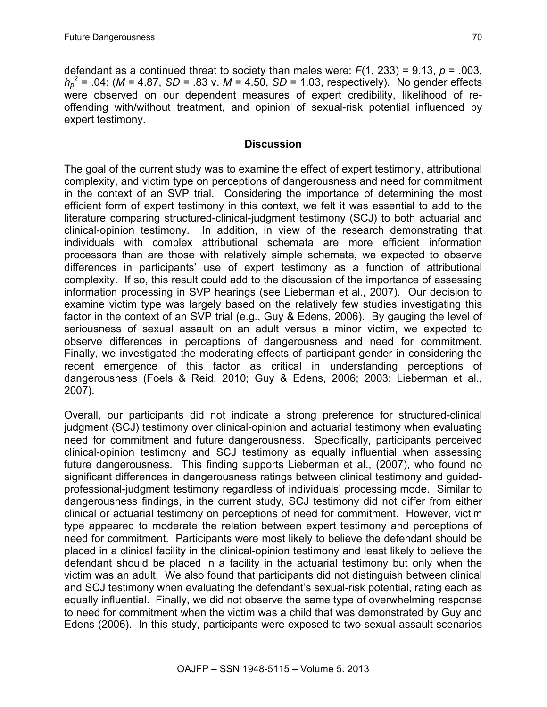defendant as a continued threat to society than males were: *F*(1, 233) = 9.13, *p* = .003,  $h_p^2$  = .04: (*M* = 4.87, *SD* = .83 v. *M* = 4.50, *SD* = 1.03, respectively). No gender effects were observed on our dependent measures of expert credibility, likelihood of reoffending with/without treatment, and opinion of sexual-risk potential influenced by expert testimony.

#### **Discussion**

The goal of the current study was to examine the effect of expert testimony, attributional complexity, and victim type on perceptions of dangerousness and need for commitment in the context of an SVP trial. Considering the importance of determining the most efficient form of expert testimony in this context, we felt it was essential to add to the literature comparing structured-clinical-judgment testimony (SCJ) to both actuarial and clinical-opinion testimony. In addition, in view of the research demonstrating that individuals with complex attributional schemata are more efficient information processors than are those with relatively simple schemata, we expected to observe differences in participants' use of expert testimony as a function of attributional complexity. If so, this result could add to the discussion of the importance of assessing information processing in SVP hearings (see Lieberman et al., 2007). Our decision to examine victim type was largely based on the relatively few studies investigating this factor in the context of an SVP trial (e.g., Guy & Edens, 2006). By gauging the level of seriousness of sexual assault on an adult versus a minor victim, we expected to observe differences in perceptions of dangerousness and need for commitment. Finally, we investigated the moderating effects of participant gender in considering the recent emergence of this factor as critical in understanding perceptions of dangerousness (Foels & Reid, 2010; Guy & Edens, 2006; 2003; Lieberman et al., 2007).

Overall, our participants did not indicate a strong preference for structured-clinical judgment (SCJ) testimony over clinical-opinion and actuarial testimony when evaluating need for commitment and future dangerousness. Specifically, participants perceived clinical-opinion testimony and SCJ testimony as equally influential when assessing future dangerousness. This finding supports Lieberman et al., (2007), who found no significant differences in dangerousness ratings between clinical testimony and guidedprofessional-judgment testimony regardless of individuals' processing mode. Similar to dangerousness findings, in the current study, SCJ testimony did not differ from either clinical or actuarial testimony on perceptions of need for commitment. However, victim type appeared to moderate the relation between expert testimony and perceptions of need for commitment. Participants were most likely to believe the defendant should be placed in a clinical facility in the clinical-opinion testimony and least likely to believe the defendant should be placed in a facility in the actuarial testimony but only when the victim was an adult. We also found that participants did not distinguish between clinical and SCJ testimony when evaluating the defendant's sexual-risk potential, rating each as equally influential. Finally, we did not observe the same type of overwhelming response to need for commitment when the victim was a child that was demonstrated by Guy and Edens (2006). In this study, participants were exposed to two sexual-assault scenarios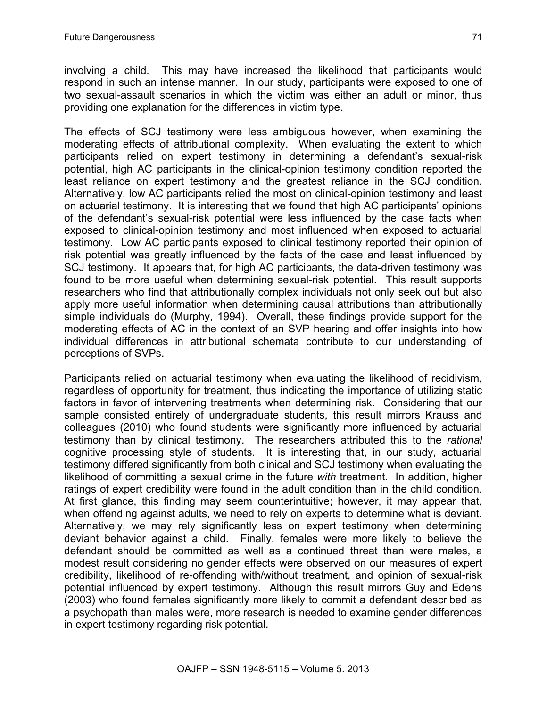The effects of SCJ testimony were less ambiguous however, when examining the moderating effects of attributional complexity. When evaluating the extent to which participants relied on expert testimony in determining a defendant's sexual-risk potential, high AC participants in the clinical-opinion testimony condition reported the least reliance on expert testimony and the greatest reliance in the SCJ condition. Alternatively, low AC participants relied the most on clinical-opinion testimony and least on actuarial testimony. It is interesting that we found that high AC participants' opinions of the defendant's sexual-risk potential were less influenced by the case facts when exposed to clinical-opinion testimony and most influenced when exposed to actuarial testimony. Low AC participants exposed to clinical testimony reported their opinion of risk potential was greatly influenced by the facts of the case and least influenced by SCJ testimony. It appears that, for high AC participants, the data-driven testimony was found to be more useful when determining sexual-risk potential. This result supports researchers who find that attributionally complex individuals not only seek out but also apply more useful information when determining causal attributions than attributionally simple individuals do (Murphy, 1994). Overall, these findings provide support for the moderating effects of AC in the context of an SVP hearing and offer insights into how individual differences in attributional schemata contribute to our understanding of perceptions of SVPs.

Participants relied on actuarial testimony when evaluating the likelihood of recidivism, regardless of opportunity for treatment, thus indicating the importance of utilizing static factors in favor of intervening treatments when determining risk. Considering that our sample consisted entirely of undergraduate students, this result mirrors Krauss and colleagues (2010) who found students were significantly more influenced by actuarial testimony than by clinical testimony. The researchers attributed this to the *rational* cognitive processing style of students. It is interesting that, in our study, actuarial testimony differed significantly from both clinical and SCJ testimony when evaluating the likelihood of committing a sexual crime in the future *with* treatment. In addition, higher ratings of expert credibility were found in the adult condition than in the child condition. At first glance, this finding may seem counterintuitive; however, it may appear that, when offending against adults, we need to rely on experts to determine what is deviant. Alternatively, we may rely significantly less on expert testimony when determining deviant behavior against a child. Finally, females were more likely to believe the defendant should be committed as well as a continued threat than were males, a modest result considering no gender effects were observed on our measures of expert credibility, likelihood of re-offending with/without treatment, and opinion of sexual-risk potential influenced by expert testimony. Although this result mirrors Guy and Edens (2003) who found females significantly more likely to commit a defendant described as a psychopath than males were, more research is needed to examine gender differences in expert testimony regarding risk potential.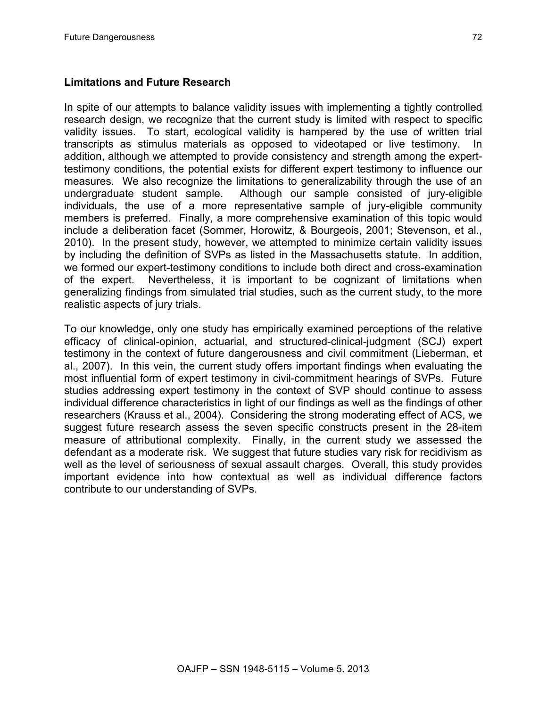#### **Limitations and Future Research**

In spite of our attempts to balance validity issues with implementing a tightly controlled research design, we recognize that the current study is limited with respect to specific validity issues. To start, ecological validity is hampered by the use of written trial transcripts as stimulus materials as opposed to videotaped or live testimony. In addition, although we attempted to provide consistency and strength among the experttestimony conditions, the potential exists for different expert testimony to influence our measures. We also recognize the limitations to generalizability through the use of an undergraduate student sample. Although our sample consisted of jury-eligible individuals, the use of a more representative sample of jury-eligible community members is preferred. Finally, a more comprehensive examination of this topic would include a deliberation facet (Sommer, Horowitz, & Bourgeois, 2001; Stevenson, et al., 2010). In the present study, however, we attempted to minimize certain validity issues by including the definition of SVPs as listed in the Massachusetts statute. In addition, we formed our expert-testimony conditions to include both direct and cross-examination of the expert. Nevertheless, it is important to be cognizant of limitations when generalizing findings from simulated trial studies, such as the current study, to the more realistic aspects of jury trials.

To our knowledge, only one study has empirically examined perceptions of the relative efficacy of clinical-opinion, actuarial, and structured-clinical-judgment (SCJ) expert testimony in the context of future dangerousness and civil commitment (Lieberman, et al., 2007). In this vein, the current study offers important findings when evaluating the most influential form of expert testimony in civil-commitment hearings of SVPs. Future studies addressing expert testimony in the context of SVP should continue to assess individual difference characteristics in light of our findings as well as the findings of other researchers (Krauss et al., 2004). Considering the strong moderating effect of ACS, we suggest future research assess the seven specific constructs present in the 28-item measure of attributional complexity. Finally, in the current study we assessed the defendant as a moderate risk. We suggest that future studies vary risk for recidivism as well as the level of seriousness of sexual assault charges. Overall, this study provides important evidence into how contextual as well as individual difference factors contribute to our understanding of SVPs.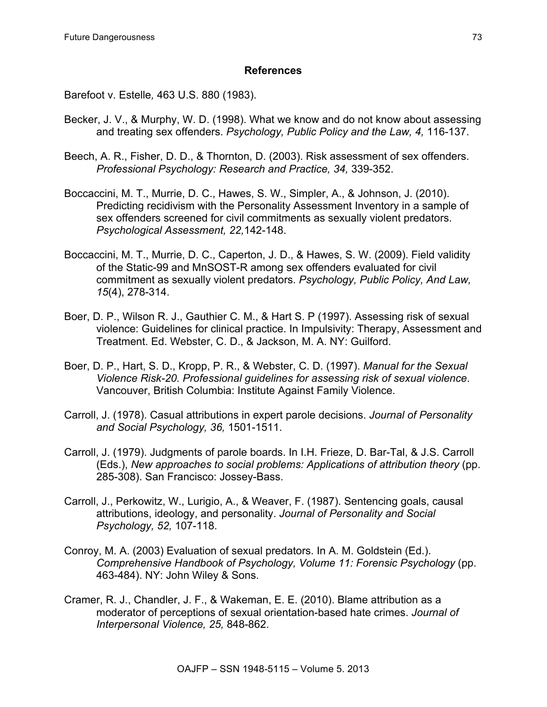### **References**

Barefoot v. Estelle*,* 463 U.S. 880 (1983).

- Becker, J. V., & Murphy, W. D. (1998). What we know and do not know about assessing and treating sex offenders. *Psychology, Public Policy and the Law, 4,* 116-137.
- Beech, A. R., Fisher, D. D., & Thornton, D. (2003). Risk assessment of sex offenders. *Professional Psychology: Research and Practice, 34,* 339-352.
- Boccaccini, M. T., Murrie, D. C., Hawes, S. W., Simpler, A., & Johnson, J. (2010). Predicting recidivism with the Personality Assessment Inventory in a sample of sex offenders screened for civil commitments as sexually violent predators. *Psychological Assessment, 22,*142-148.
- Boccaccini, M. T., Murrie, D. C., Caperton, J. D., & Hawes, S. W. (2009). Field validity of the Static-99 and MnSOST-R among sex offenders evaluated for civil commitment as sexually violent predators. *Psychology, Public Policy, And Law, 15*(4), 278-314.
- Boer, D. P., Wilson R. J., Gauthier C. M., & Hart S. P (1997). Assessing risk of sexual violence: Guidelines for clinical practice. In Impulsivity: Therapy, Assessment and Treatment. Ed. Webster, C. D., & Jackson, M. A. NY: Guilford.
- Boer, D. P., Hart, S. D., Kropp, P. R., & Webster, C. D. (1997). *Manual for the Sexual Violence Risk-20. Professional guidelines for assessing risk of sexual violence*. Vancouver, British Columbia: Institute Against Family Violence.
- Carroll, J. (1978). Casual attributions in expert parole decisions. *Journal of Personality and Social Psychology, 36,* 1501-1511.
- Carroll, J. (1979). Judgments of parole boards. In I.H. Frieze, D. Bar-Tal, & J.S. Carroll (Eds.), *New approaches to social problems: Applications of attribution theory* (pp. 285-308). San Francisco: Jossey-Bass.
- Carroll, J., Perkowitz, W., Lurigio, A., & Weaver, F. (1987). Sentencing goals, causal attributions, ideology, and personality. *Journal of Personality and Social Psychology, 52,* 107-118.
- Conroy, M. A. (2003) Evaluation of sexual predators. In A. M. Goldstein (Ed.). *Comprehensive Handbook of Psychology, Volume 11: Forensic Psychology* (pp. 463-484). NY: John Wiley & Sons.
- Cramer, R. J., Chandler, J. F., & Wakeman, E. E. (2010). Blame attribution as a moderator of perceptions of sexual orientation-based hate crimes. *Journal of Interpersonal Violence, 25,* 848-862.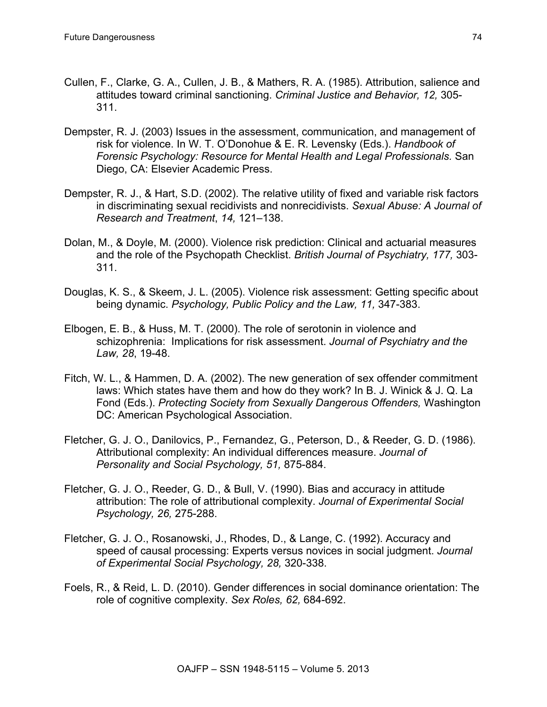- Cullen, F., Clarke, G. A., Cullen, J. B., & Mathers, R. A. (1985). Attribution, salience and attitudes toward criminal sanctioning. *Criminal Justice and Behavior, 12,* 305- 311.
- Dempster, R. J. (2003) Issues in the assessment, communication, and management of risk for violence. In W. T. O'Donohue & E. R. Levensky (Eds.). *Handbook of Forensic Psychology: Resource for Mental Health and Legal Professionals.* San Diego, CA: Elsevier Academic Press.
- Dempster, R. J., & Hart, S.D. (2002). The relative utility of fixed and variable risk factors in discriminating sexual recidivists and nonrecidivists. *Sexual Abuse: A Journal of Research and Treatment*, *14,* 121–138.
- Dolan, M., & Doyle, M. (2000). Violence risk prediction: Clinical and actuarial measures and the role of the Psychopath Checklist. *British Journal of Psychiatry, 177,* 303- 311.
- Douglas, K. S., & Skeem, J. L. (2005). Violence risk assessment: Getting specific about being dynamic. *Psychology, Public Policy and the Law, 11,* 347-383.
- Elbogen, E. B., & Huss, M. T. (2000). The role of serotonin in violence and schizophrenia: Implications for risk assessment. *Journal of Psychiatry and the Law, 28*, 19-48.
- Fitch, W. L., & Hammen, D. A. (2002). The new generation of sex offender commitment laws: Which states have them and how do they work? In B. J. Winick & J. Q. La Fond (Eds.). *Protecting Society from Sexually Dangerous Offenders,* Washington DC: American Psychological Association.
- Fletcher, G. J. O., Danilovics, P., Fernandez, G., Peterson, D., & Reeder, G. D. (1986). Attributional complexity: An individual differences measure. *Journal of Personality and Social Psychology, 51,* 875-884.
- Fletcher, G. J. O., Reeder, G. D., & Bull, V. (1990). Bias and accuracy in attitude attribution: The role of attributional complexity. *Journal of Experimental Social Psychology, 26,* 275-288.
- Fletcher, G. J. O., Rosanowski, J., Rhodes, D., & Lange, C. (1992). Accuracy and speed of causal processing: Experts versus novices in social judgment. *Journal of Experimental Social Psychology, 28,* 320-338.
- Foels, R., & Reid, L. D. (2010). Gender differences in social dominance orientation: The role of cognitive complexity. *Sex Roles, 62,* 684-692.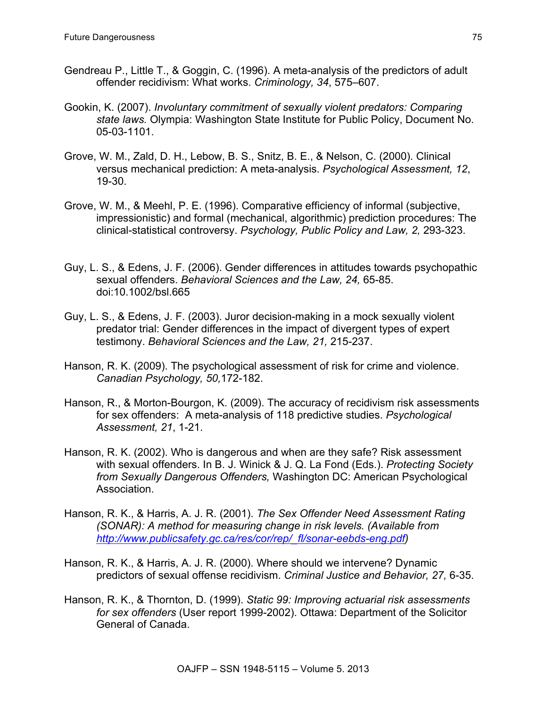- Gendreau P., Little T., & Goggin, C. (1996). A meta-analysis of the predictors of adult offender recidivism: What works. *Criminology, 34*, 575–607.
- Gookin, K. (2007). *Involuntary commitment of sexually violent predators: Comparing state laws.* Olympia: Washington State Institute for Public Policy, Document No. 05-03-1101.
- Grove, W. M., Zald, D. H., Lebow, B. S., Snitz, B. E., & Nelson, C. (2000). Clinical versus mechanical prediction: A meta-analysis. *Psychological Assessment, 12*, 19-30.
- Grove, W. M., & Meehl, P. E. (1996). Comparative efficiency of informal (subjective, impressionistic) and formal (mechanical, algorithmic) prediction procedures: The clinical-statistical controversy. *Psychology, Public Policy and Law, 2,* 293-323.
- Guy, L. S., & Edens, J. F. (2006). Gender differences in attitudes towards psychopathic sexual offenders. *Behavioral Sciences and the Law, 24,* 65-85. doi:10.1002/bsl.665
- Guy, L. S., & Edens, J. F. (2003). Juror decision-making in a mock sexually violent predator trial: Gender differences in the impact of divergent types of expert testimony. *Behavioral Sciences and the Law, 21,* 215-237.
- Hanson, R. K. (2009). The psychological assessment of risk for crime and violence. *Canadian Psychology, 50,*172-182.
- Hanson, R., & Morton-Bourgon, K. (2009). The accuracy of recidivism risk assessments for sex offenders: A meta-analysis of 118 predictive studies. *Psychological Assessment, 21*, 1-21.
- Hanson, R. K. (2002). Who is dangerous and when are they safe? Risk assessment with sexual offenders. In B. J. Winick & J. Q. La Fond (Eds.). *Protecting Society from Sexually Dangerous Offenders,* Washington DC: American Psychological Association.
- Hanson, R. K., & Harris, A. J. R. (2001). *The Sex Offender Need Assessment Rating (SONAR): A method for measuring change in risk levels. (Available from http://www.publicsafety.gc.ca/res/cor/rep/\_fl/sonar-eebds-eng.pdf)*
- Hanson, R. K., & Harris, A. J. R. (2000). Where should we intervene? Dynamic predictors of sexual offense recidivism. *Criminal Justice and Behavior, 27,* 6-35.
- Hanson, R. K., & Thornton, D. (1999). *Static 99: Improving actuarial risk assessments for sex offenders* (User report 1999-2002). Ottawa: Department of the Solicitor General of Canada.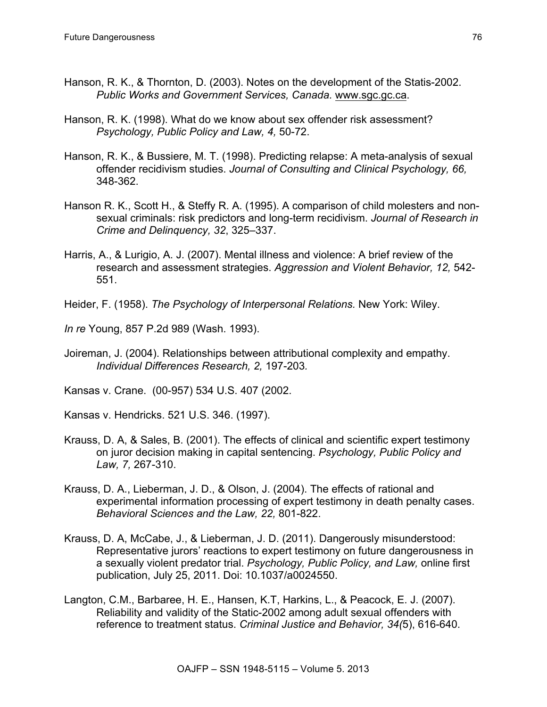- Hanson, R. K., & Thornton, D. (2003). Notes on the development of the Statis-2002. *Public Works and Government Services, Canada.* www.sgc.gc.ca.
- Hanson, R. K. (1998). What do we know about sex offender risk assessment? *Psychology, Public Policy and Law, 4,* 50-72.
- Hanson, R. K., & Bussiere, M. T. (1998). Predicting relapse: A meta-analysis of sexual offender recidivism studies. *Journal of Consulting and Clinical Psychology, 66,* 348-362.
- Hanson R. K., Scott H., & Steffy R. A. (1995). A comparison of child molesters and nonsexual criminals: risk predictors and long-term recidivism. *Journal of Research in Crime and Delinquency, 32*, 325–337.
- Harris, A., & Lurigio, A. J. (2007). Mental illness and violence: A brief review of the research and assessment strategies. *Aggression and Violent Behavior, 12,* 542- 551.
- Heider, F. (1958). *The Psychology of Interpersonal Relations.* New York: Wiley.

*In re* Young, 857 P.2d 989 (Wash. 1993).

Joireman, J. (2004). Relationships between attributional complexity and empathy. *Individual Differences Research, 2,* 197-203*.*

Kansas v. Crane. (00-957) 534 U.S. 407 (2002.

Kansas v. Hendricks. 521 U.S. 346. (1997).

- Krauss, D. A, & Sales, B. (2001). The effects of clinical and scientific expert testimony on juror decision making in capital sentencing. *Psychology, Public Policy and Law, 7,* 267-310.
- Krauss, D. A., Lieberman, J. D., & Olson, J. (2004). The effects of rational and experimental information processing of expert testimony in death penalty cases. *Behavioral Sciences and the Law, 22,* 801-822.
- Krauss, D. A, McCabe, J., & Lieberman, J. D. (2011). Dangerously misunderstood: Representative jurors' reactions to expert testimony on future dangerousness in a sexually violent predator trial. *Psychology, Public Policy, and Law,* online first publication, July 25, 2011. Doi: 10.1037/a0024550.
- Langton, C.M., Barbaree, H. E., Hansen, K.T, Harkins, L., & Peacock, E. J. (2007). Reliability and validity of the Static-2002 among adult sexual offenders with reference to treatment status. *Criminal Justice and Behavior, 34(*5), 616-640.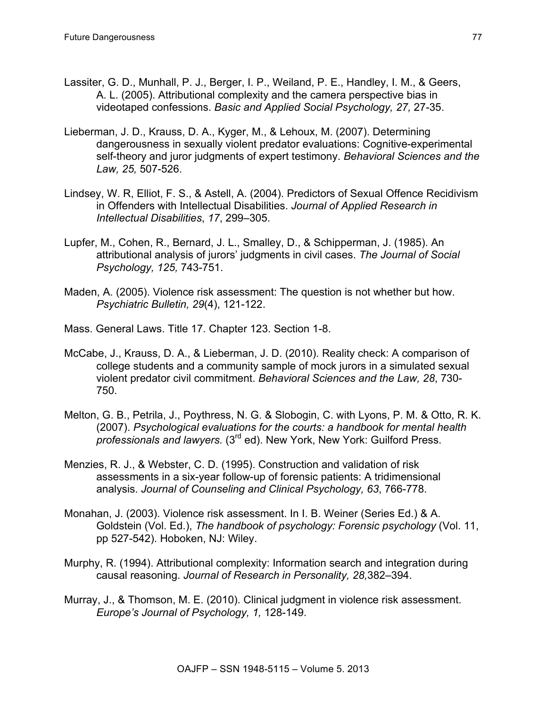- Lassiter, G. D., Munhall, P. J., Berger, I. P., Weiland, P. E., Handley, I. M., & Geers, A. L. (2005). Attributional complexity and the camera perspective bias in videotaped confessions. *Basic and Applied Social Psychology, 27,* 27-35.
- Lieberman, J. D., Krauss, D. A., Kyger, M., & Lehoux, M. (2007). Determining dangerousness in sexually violent predator evaluations: Cognitive-experimental self-theory and juror judgments of expert testimony. *Behavioral Sciences and the Law, 25,* 507-526.
- Lindsey, W. R, Elliot, F. S., & Astell, A. (2004). Predictors of Sexual Offence Recidivism in Offenders with Intellectual Disabilities. *Journal of Applied Research in Intellectual Disabilities*, *17*, 299–305.
- Lupfer, M., Cohen, R., Bernard, J. L., Smalley, D., & Schipperman, J. (1985). An attributional analysis of jurors' judgments in civil cases. *The Journal of Social Psychology, 125,* 743-751.
- Maden, A. (2005). Violence risk assessment: The question is not whether but how. *Psychiatric Bulletin, 29*(4), 121-122.
- Mass. General Laws. Title 17. Chapter 123. Section 1-8.
- McCabe, J., Krauss, D. A., & Lieberman, J. D. (2010). Reality check: A comparison of college students and a community sample of mock jurors in a simulated sexual violent predator civil commitment. *Behavioral Sciences and the Law, 28*, 730- 750.
- Melton, G. B., Petrila, J., Poythress, N. G. & Slobogin, C. with Lyons, P. M. & Otto, R. K. (2007). *Psychological evaluations for the courts: a handbook for mental health professionals and lawyers.* (3rd ed). New York, New York: Guilford Press.
- Menzies, R. J., & Webster, C. D. (1995). Construction and validation of risk assessments in a six-year follow-up of forensic patients: A tridimensional analysis. *Journal of Counseling and Clinical Psychology, 63*, 766-778.
- Monahan, J. (2003). Violence risk assessment. In I. B. Weiner (Series Ed.) & A. Goldstein (Vol. Ed.), *The handbook of psychology: Forensic psychology* (Vol. 11, pp 527-542). Hoboken, NJ: Wiley.
- Murphy, R. (1994). Attributional complexity: Information search and integration during causal reasoning. *Journal of Research in Personality, 28,*382–394.
- Murray, J., & Thomson, M. E. (2010). Clinical judgment in violence risk assessment. *Europe's Journal of Psychology, 1,* 128-149.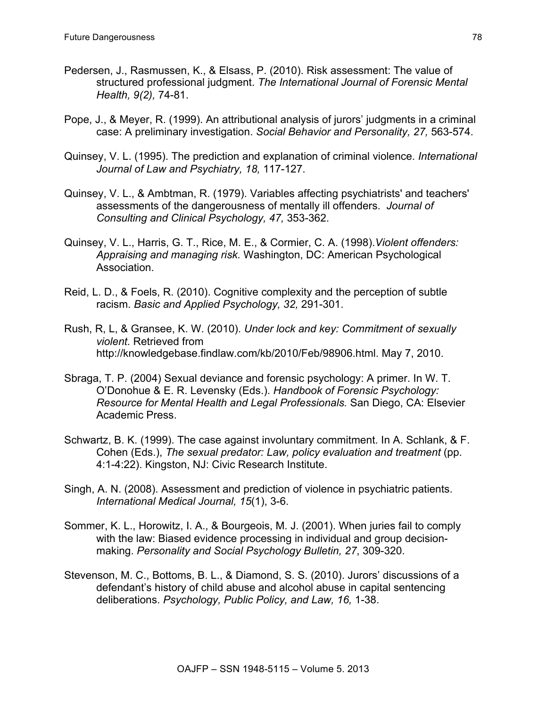- Pedersen, J., Rasmussen, K., & Elsass, P. (2010). Risk assessment: The value of structured professional judgment. *The International Journal of Forensic Mental Health, 9(2),* 74-81.
- Pope, J., & Meyer, R. (1999). An attributional analysis of jurors' judgments in a criminal case: A preliminary investigation. *Social Behavior and Personality, 27,* 563-574.
- Quinsey, V. L. (1995). The prediction and explanation of criminal violence. *International Journal of Law and Psychiatry, 18,* 117-127.
- Quinsey, V. L., & Ambtman, R. (1979). Variables affecting psychiatrists' and teachers' assessments of the dangerousness of mentally ill offenders. *Journal of Consulting and Clinical Psychology, 47,* 353-362.
- Quinsey, V. L., Harris, G. T., Rice, M. E., & Cormier, C. A. (1998).*Violent offenders: Appraising and managing risk.* Washington, DC: American Psychological Association.
- Reid, L. D., & Foels, R. (2010). Cognitive complexity and the perception of subtle racism. *Basic and Applied Psychology, 32,* 291-301.
- Rush, R, L, & Gransee, K. W. (2010). *Under lock and key: Commitment of sexually violent.* Retrieved from http://knowledgebase.findlaw.com/kb/2010/Feb/98906.html. May 7, 2010.
- Sbraga, T. P. (2004) Sexual deviance and forensic psychology: A primer. In W. T. O'Donohue & E. R. Levensky (Eds.). *Handbook of Forensic Psychology: Resource for Mental Health and Legal Professionals.* San Diego, CA: Elsevier Academic Press.
- Schwartz, B. K. (1999). The case against involuntary commitment. In A. Schlank, & F. Cohen (Eds.), *The sexual predator: Law, policy evaluation and treatment* (pp. 4:1-4:22). Kingston, NJ: Civic Research Institute.
- Singh, A. N. (2008). Assessment and prediction of violence in psychiatric patients. *International Medical Journal, 15*(1), 3-6.
- Sommer, K. L., Horowitz, I. A., & Bourgeois, M. J. (2001). When juries fail to comply with the law: Biased evidence processing in individual and group decisionmaking. *Personality and Social Psychology Bulletin, 27*, 309-320.
- Stevenson, M. C., Bottoms, B. L., & Diamond, S. S. (2010). Jurors' discussions of a defendant's history of child abuse and alcohol abuse in capital sentencing deliberations. *Psychology, Public Policy, and Law, 16,* 1-38.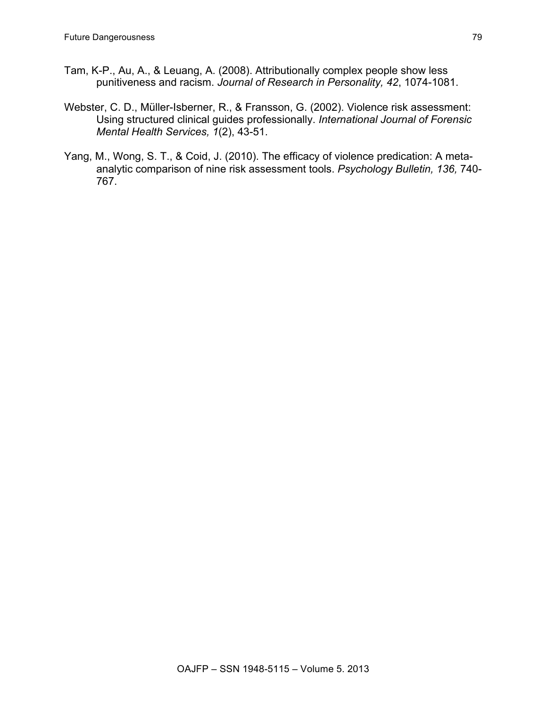- Tam, K-P., Au, A., & Leuang, A. (2008). Attributionally complex people show less punitiveness and racism. *Journal of Research in Personality, 42*, 1074-1081.
- Webster, C. D., Müller-Isberner, R., & Fransson, G. (2002). Violence risk assessment: Using structured clinical guides professionally. *International Journal of Forensic Mental Health Services, 1*(2), 43-51.
- Yang, M., Wong, S. T., & Coid, J. (2010). The efficacy of violence predication: A metaanalytic comparison of nine risk assessment tools. *Psychology Bulletin, 136,* 740- 767.